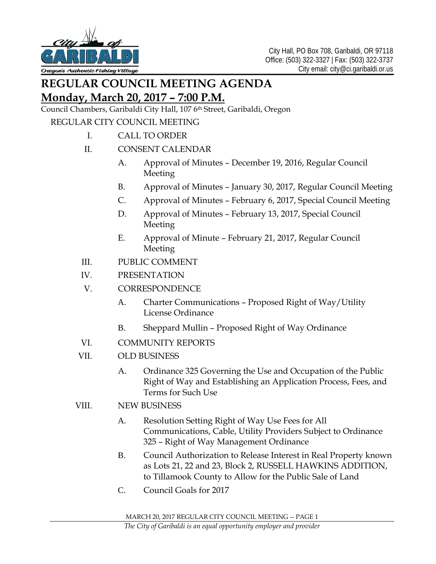

# **REGULAR COUNCIL MEETING AGENDA Monday, March 20, 2017 – 7:00 P.M.**

Council Chambers, Garibaldi City Hall, 107 6<sup>th</sup> Street, Garibaldi, Oregon

### REGULAR CITY COUNCIL MEETING

I. CALL TO ORDER

### II. CONSENT CALENDAR

- A. Approval of Minutes December 19, 2016, Regular Council Meeting
- B. Approval of Minutes January 30, 2017, Regular Council Meeting
- C. Approval of Minutes February 6, 2017, Special Council Meeting
- D. Approval of Minutes February 13, 2017, Special Council Meeting
- E. Approval of Minute February 21, 2017, Regular Council Meeting
- III. PUBLIC COMMENT
- IV. PRESENTATION
- V. CORRESPONDENCE
	- A. Charter Communications Proposed Right of Way/Utility License Ordinance
	- B. Sheppard Mullin Proposed Right of Way Ordinance
- VI. COMMUNITY REPORTS
- VII. OLD BUSINESS
	- A. Ordinance 325 Governing the Use and Occupation of the Public Right of Way and Establishing an Application Process, Fees, and Terms for Such Use
- VIII. NEW BUSINESS
	- A. Resolution Setting Right of Way Use Fees for All Communications, Cable, Utility Providers Subject to Ordinance 325 – Right of Way Management Ordinance
	- B. Council Authorization to Release Interest in Real Property known as Lots 21, 22 and 23, Block 2, RUSSELL HAWKINS ADDITION, to Tillamook County to Allow for the Public Sale of Land
	- C. Council Goals for 2017